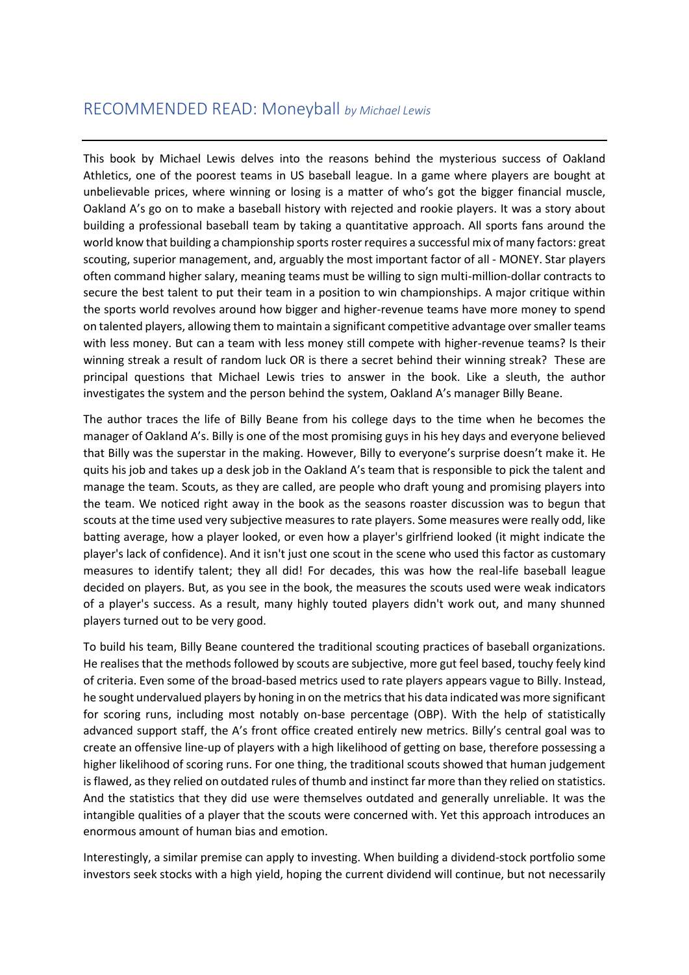## RECOMMENDED READ: Moneyball *by Michael Lewis*

This book by Michael Lewis delves into the reasons behind the mysterious success of Oakland Athletics, one of the poorest teams in US baseball league. In a game where players are bought at unbelievable prices, where winning or losing is a matter of who's got the bigger financial muscle, Oakland A's go on to make a baseball history with rejected and rookie players. It was a story about building a professional baseball team by taking a quantitative approach. All sports fans around the world know that building a championship sports roster requires a successful mix of many factors: great scouting, superior management, and, arguably the most important factor of all - MONEY. Star players often command higher salary, meaning teams must be willing to sign multi-million-dollar contracts to secure the best talent to put their team in a position to win championships. A major critique within the sports world revolves around how bigger and higher-revenue teams have more money to spend on talented players, allowing them to maintain a significant competitive advantage over smaller teams with less money. But can a team with less money still compete with higher-revenue teams? Is their winning streak a result of random luck OR is there a secret behind their winning streak? These are principal questions that Michael Lewis tries to answer in the book. Like a sleuth, the author investigates the system and the person behind the system, Oakland A's manager Billy Beane.

The author traces the life of Billy Beane from his college days to the time when he becomes the manager of Oakland A's. Billy is one of the most promising guys in his hey days and everyone believed that Billy was the superstar in the making. However, Billy to everyone's surprise doesn't make it. He quits his job and takes up a desk job in the Oakland A's team that is responsible to pick the talent and manage the team. Scouts, as they are called, are people who draft young and promising players into the team. We noticed right away in the book as the seasons roaster discussion was to begun that scouts at the time used very subjective measures to rate players. Some measures were really odd, like batting average, how a player looked, or even how a player's girlfriend looked (it might indicate the player's lack of confidence). And it isn't just one scout in the scene who used this factor as customary measures to identify talent; they all did! For decades, this was how the real-life baseball league decided on players. But, as you see in the book, the measures the scouts used were weak indicators of a player's success. As a result, many highly touted players didn't work out, and many shunned players turned out to be very good.

To build his team, Billy Beane countered the traditional scouting practices of baseball organizations. He realises that the methods followed by scouts are subjective, more gut feel based, touchy feely kind of criteria. Even some of the broad-based metrics used to rate players appears vague to Billy. Instead, he sought undervalued players by honing in on the metrics that his data indicated was more significant for scoring runs, including most notably on-base percentage (OBP). With the help of statistically advanced support staff, the A's front office created entirely new metrics. Billy's central goal was to create an offensive line-up of players with a high likelihood of getting on base, therefore possessing a higher likelihood of scoring runs. For one thing, the traditional scouts showed that human judgement is flawed, as they relied on outdated rules of thumb and instinct far more than they relied on statistics. And the statistics that they did use were themselves outdated and generally unreliable. It was the intangible qualities of a player that the scouts were concerned with. Yet this approach introduces an enormous amount of human bias and emotion.

Interestingly, a similar premise can apply to investing. When building a dividend-stock portfolio some investors seek stocks with a high yield, hoping the current dividend will continue, but not necessarily